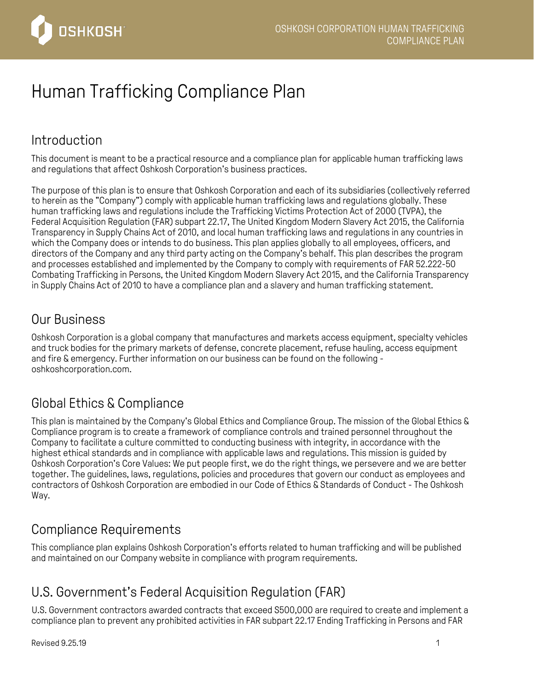

# Human Trafficking Compliance Plan

# Introduction

This document is meant to be a practical resource and a compliance plan for applicable human trafficking laws and regulations that affect Oshkosh Corporation's business practices.

The purpose of this plan is to ensure that Oshkosh Corporation and each of its subsidiaries (collectively referred to herein as the "Company") comply with applicable human trafficking laws and regulations globally. These human trafficking laws and regulations include the Trafficking Victims Protection Act of 2000 (TVPA), the Federal Acquisition Regulation (FAR) subpart 22.17, The United Kingdom Modern Slavery Act 2015, the California Transparency in Supply Chains Act of 2010, and local human trafficking laws and regulations in any countries in which the Company does or intends to do business. This plan applies globally to all employees, officers, and directors of the Company and any third party acting on the Company's behalf. This plan describes the program and processes established and implemented by the Company to comply with requirements of FAR 52.222-50 Combating Trafficking in Persons, the United Kingdom Modern Slavery Act 2015, and the California Transparency in Supply Chains Act of 2010 to have a compliance plan and a slavery and human trafficking statement.

#### Our Business

Oshkosh Corporation is a global company that manufactures and markets access equipment, specialty vehicles and truck bodies for the primary markets of defense, concrete placement, refuse hauling, access equipment and fire & emergency. Further information on our business can be found on the following oshkoshcorporation.com.

### Global Ethics & Compliance

This plan is maintained by the Company's Global Ethics and Compliance Group. The mission of the Global Ethics & Compliance program is to create a framework of compliance controls and trained personnel throughout the Company to facilitate a culture committed to conducting business with integrity, in accordance with the highest ethical standards and in compliance with applicable laws and regulations. This mission is guided by Oshkosh Corporation's Core Values: We put people first, we do the right things, we persevere and we are better together. The guidelines, laws, regulations, policies and procedures that govern our conduct as employees and contractors of Oshkosh Corporation are embodied in our Code of Ethics & Standards of Conduct - The Oshkosh Way.

### Compliance Requirements

This compliance plan explains Oshkosh Corporation's efforts related to human trafficking and will be published and maintained on our Company website in compliance with program requirements.

# U.S. Government's Federal Acquisition Regulation (FAR)

U.S. Government contractors awarded contracts that exceed S500,000 are required to create and implement a compliance plan to prevent any prohibited activities in FAR subpart 22.17 Ending Trafficking in Persons and FAR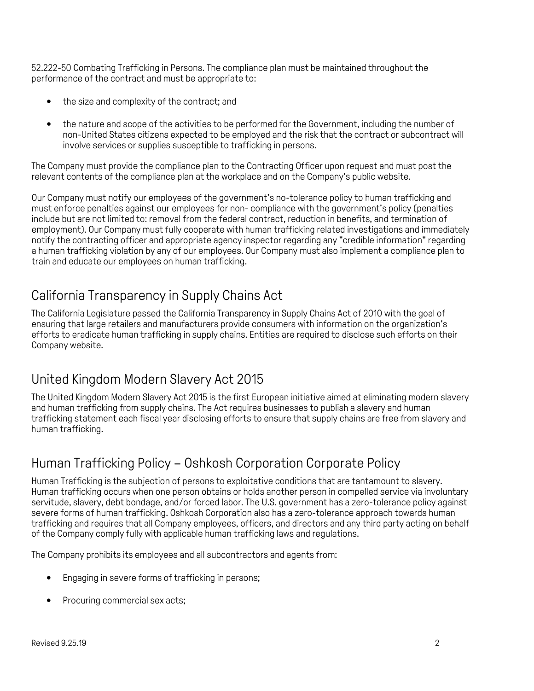52.222-50 Combating Trafficking in Persons. The compliance plan must be maintained throughout the performance of the contract and must be appropriate to:

- the size and complexity of the contract; and
- the nature and scope of the activities to be performed for the Government, including the number of non-United States citizens expected to be employed and the risk that the contract or subcontract will involve services or supplies susceptible to trafficking in persons.

The Company must provide the compliance plan to the Contracting Officer upon request and must post the relevant contents of the compliance plan at the workplace and on the Company's public website.

Our Company must notify our employees of the government's no-tolerance policy to human trafficking and must enforce penalties against our employees for non- compliance with the government's policy (penalties include but are not limited to: removal from the federal contract, reduction in benefits, and termination of employment). Our Company must fully cooperate with human trafficking related investigations and immediately notify the contracting officer and appropriate agency inspector regarding any "credible information" regarding a human trafficking violation by any of our employees. Our Company must also implement a compliance plan to train and educate our employees on human trafficking.

# California Transparency in Supply Chains Act

The California Legislature passed the California Transparency in Supply Chains Act of 2010 with the goal of ensuring that large retailers and manufacturers provide consumers with information on the organization's efforts to eradicate human trafficking in supply chains. Entities are required to disclose such efforts on their Company website.

### United Kingdom Modern Slavery Act 2015

The United Kingdom Modern Slavery Act 2015 is the first European initiative aimed at eliminating modern slavery and human trafficking from supply chains. The Act requires businesses to publish a slavery and human trafficking statement each fiscal year disclosing efforts to ensure that supply chains are free from slavery and human trafficking.

# Human Trafficking Policy – Oshkosh Corporation Corporate Policy

Human Trafficking is the subjection of persons to exploitative conditions that are tantamount to slavery. Human trafficking occurs when one person obtains or holds another person in compelled service via involuntary servitude, slavery, debt bondage, and/or forced labor. The U.S. government has a zero-tolerance policy against severe forms of human trafficking. Oshkosh Corporation also has a zero-tolerance approach towards human trafficking and requires that all Company employees, officers, and directors and any third party acting on behalf of the Company comply fully with applicable human trafficking laws and regulations.

The Company prohibits its employees and all subcontractors and agents from:

- Engaging in severe forms of trafficking in persons;
- Procuring commercial sex acts;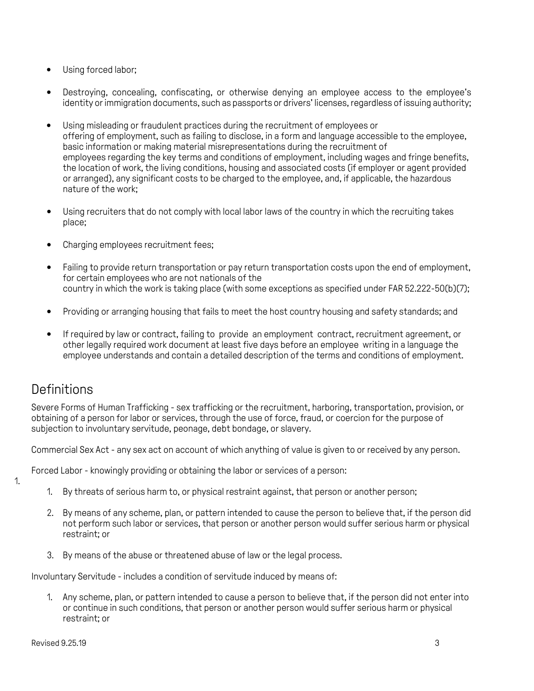- Using forced labor:
- Destroying, concealing, confiscating, or otherwise denying an employee access to the employee's identity or immigration documents, such as passports or drivers' licenses, regardless of issuing authority;
- Using misleading or fraudulent practices during the recruitment of employees or offering of employment, such as failing to disclose, in a form and language accessible to the employee, basic information or making material misrepresentations during the recruitment of employees regarding the key terms and conditions of employment, including wages and fringe benefits, the location of work, the living conditions, housing and associated costs (if employer or agent provided or arranged), any significant costs to be charged to the employee, and, if applicable, the hazardous nature of the work;
- Using recruiters that do not comply with local labor laws of the country in which the recruiting takes place;
- Charging employees recruitment fees;
- Failing to provide return transportation or pay return transportation costs upon the end of employment, for certain employees who are not nationals of the country in which the work is taking place (with some exceptions as specified under FAR 52.222-50(b)(7);
- Providing or arranging housing that fails to meet the host country housing and safety standards; and
- If required by law or contract, failing to provide an employment contract, recruitment agreement, or other legally required work document at least five days before an employee writing in a language the employee understands and contain a detailed description of the terms and conditions of employment.

### **Definitions**

Severe Forms of Human Trafficking - sex trafficking or the recruitment, harboring, transportation, provision, or obtaining of a person for labor or services, through the use of force, fraud, or coercion for the purpose of subjection to involuntary servitude, peonage, debt bondage, or slavery.

Commercial Sex Act - any sex act on account of which anything of value is given to or received by any person.

Forced Labor - knowingly providing or obtaining the labor or services of a person:

- 1.
- 1. By threats of serious harm to, or physical restraint against, that person or another person;
- 2. By means of any scheme, plan, or pattern intended to cause the person to believe that, if the person did not perform such labor or services, that person or another person would suffer serious harm or physical restraint; or
- 3. By means of the abuse or threatened abuse of law or the legal process.

Involuntary Servitude - includes a condition of servitude induced by means of:

1. Any scheme, plan, or pattern intended to cause a person to believe that, if the person did not enter into or continue in such conditions, that person or another person would suffer serious harm or physical restraint; or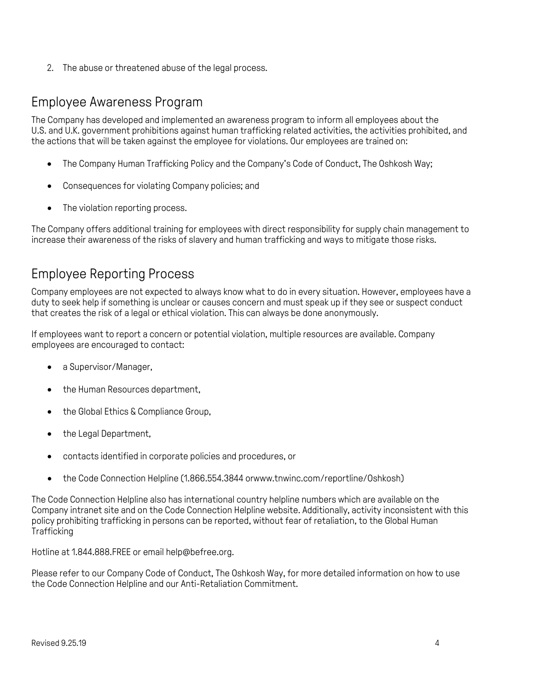2. The abuse or threatened abuse of the legal process.

#### Employee Awareness Program

The Company has developed and implemented an awareness program to inform all employees about the U.S. and U.K. government prohibitions against human trafficking related activities, the activities prohibited, and the actions that will be taken against the employee for violations. Our employees are trained on:

- The Company Human Trafficking Policy and the Company's Code of Conduct, The Oshkosh Way;
- Consequences for violating Company policies; and
- The violation reporting process.

The Company offers additional training for employees with direct responsibility for supply chain management to increase their awareness of the risks of slavery and human trafficking and ways to mitigate those risks.

### Employee Reporting Process

Company employees are not expected to always know what to do in every situation. However, employees have a duty to seek help if something is unclear or causes concern and must speak up if they see or suspect conduct that creates the risk of a legal or ethical violation. This can always be done anonymously.

If employees want to report a concern or potential violation, multiple resources are available. Company employees are encouraged to contact:

- a Supervisor/Manager,
- the Human Resources department,
- the Global Ethics & Compliance Group,
- the Legal Department,
- contacts identified in corporate policies and procedures, or
- the Code Connection Helpline (1.866.554.3844 [orwww.tnwinc.com/reportline/Oshkosh\)](http://www.tnwinc.com/reportline/Oshkosh))

The Code Connection Helpline also has international country helpline numbers which are available on the Company intranet site and on the Code Connection Helpline website. Additionally, activity inconsistent with this policy prohibiting trafficking in persons can be reported, without fear of retaliation, to the Global Human **Trafficking** 

Hotline at 1.844.888.FREE or emai[l help@befree.org.](mailto:help@befree.org)

Please refer to our Company Code of Conduct, The Oshkosh Way, for more detailed information on how to use the Code Connection Helpline and our Anti-Retaliation Commitment.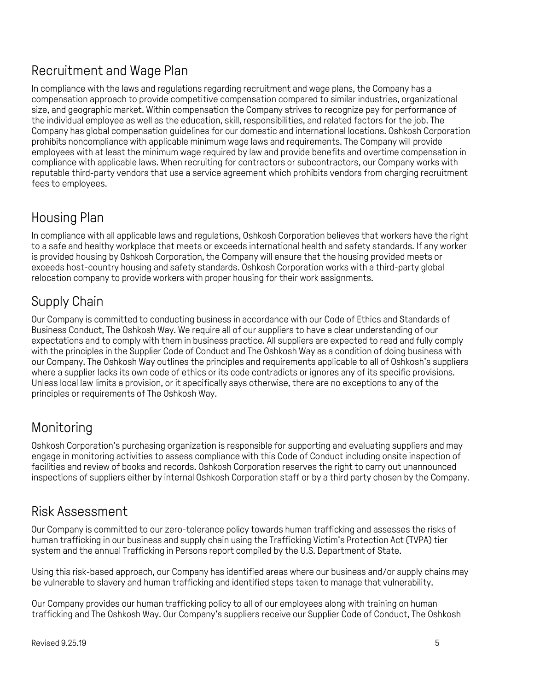# Recruitment and Wage Plan

In compliance with the laws and regulations regarding recruitment and wage plans, the Company has a compensation approach to provide competitive compensation compared to similar industries, organizational size, and geographic market. Within compensation the Company strives to recognize pay for performance of the individual employee as well as the education, skill, responsibilities, and related factors for the job. The Company has global compensation guidelines for our domestic and international locations. Oshkosh Corporation prohibits noncompliance with applicable minimum wage laws and requirements. The Company will provide employees with at least the minimum wage required by law and provide benefits and overtime compensation in compliance with applicable laws. When recruiting for contractors or subcontractors, our Company works with reputable third-party vendors that use a service agreement which prohibits vendors from charging recruitment fees to employees.

# Housing Plan

In compliance with all applicable laws and regulations, Oshkosh Corporation believes that workers have the right to a safe and healthy workplace that meets or exceeds international health and safety standards. If any worker is provided housing by Oshkosh Corporation, the Company will ensure that the housing provided meets or exceeds host-country housing and safety standards. Oshkosh Corporation works with a third-party global relocation company to provide workers with proper housing for their work assignments.

# Supply Chain

Our Company is committed to conducting business in accordance with our Code of Ethics and Standards of Business Conduct, The Oshkosh Way. We require all of our suppliers to have a clear understanding of our expectations and to comply with them in business practice. All suppliers are expected to read and fully comply with the principles in the Supplier Code of Conduct and The Oshkosh Way as a condition of doing business with our Company. The Oshkosh Way outlines the principles and requirements applicable to all of Oshkosh's suppliers where a supplier lacks its own code of ethics or its code contradicts or ignores any of its specific provisions. Unless local law limits a provision, or it specifically says otherwise, there are no exceptions to any of the principles or requirements of The Oshkosh Way.

# Monitoring

Oshkosh Corporation's purchasing organization is responsible for supporting and evaluating suppliers and may engage in monitoring activities to assess compliance with this Code of Conduct including onsite inspection of facilities and review of books and records. Oshkosh Corporation reserves the right to carry out unannounced inspections of suppliers either by internal Oshkosh Corporation staff or by a third party chosen by the Company.

#### Risk Assessment

Our Company is committed to our zero-tolerance policy towards human trafficking and assesses the risks of human trafficking in our business and supply chain using the Trafficking Victim's Protection Act (TVPA) tier system and the annual Trafficking in Persons report compiled by the U.S. Department of State.

Using this risk-based approach, our Company has identified areas where our business and/or supply chains may be vulnerable to slavery and human trafficking and identified steps taken to manage that vulnerability.

Our Company provides our human trafficking policy to all of our employees along with training on human trafficking and The Oshkosh Way. Our Company's suppliers receive our Supplier Code of Conduct, The Oshkosh